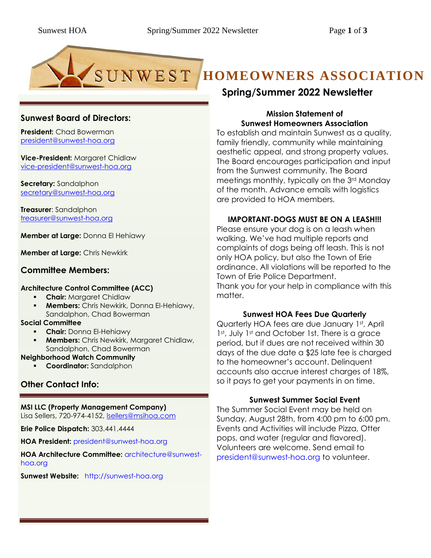# SUNWEST HOMEOWNERS ASSOCIATION

# **Sunwest Board of Directors:**

**President:** Chad Bowerman [president@sunwest-hoa.org](mailto:president@sunwest-hoa.org)

**Vice-President:** Margaret Chidlaw [vice-president@sunwest-hoa.org](mailto:vice-president@sunwest-hoa.org)

**Secretary:** Sandalphon [secretary@sunwest-hoa.org](mailto:secretary@sunwest-hoa.org)

**Treasurer**: Sandalphon [treasurer@sunwest-hoa.org](mailto:treasurer@sunwest-hoa.org)

**Member at Large:** Donna El Hehiawy

**Member at Large:** Chris Newkirk

# **Committee Members:**

# **Architecture Control Committee (ACC)**

- **Chair:** Margaret Chidlaw
- **Members:** Chris Newkirk, Donna El-Hehiawy, Sandalphon, Chad Bowerman

#### **Social Committee**

- **Chair:** Donna El-Hehiawy
- **Members:** Chris Newkirk, Margaret Chidlaw, Sandalphon, Chad Bowerman

#### **Neighborhood Watch Community**

▪ **Coordinator:** Sandalphon

# **Other Contact Info:**

#### **MSI LLC (Property Management Company)**

Lisa Sellers, 720-974-4152, [lsellers@msihoa.com](mailto:lsellers@msihoa.com)

**Erie Police Dispatch:** 303.441.4444

**HOA President:** [president@sunwest-hoa.org](mailto:president@sunwest-hoa.org)

**HOA Architecture Committee:** [architecture@sunwest](mailto:architecture@sunwest-hoa.org)[hoa.org](mailto:architecture@sunwest-hoa.org)

**Sunwest Website:** [http://sunwest-hoa.org](http://sunwest-hoa.org/)

# **Spring/Summer 2022 Newsletter**

# **Mission Statement of Sunwest Homeowners Association**

To establish and maintain Sunwest as a quality, family friendly, community while maintaining aesthetic appeal, and strong property values. The Board encourages participation and input from the Sunwest community. The Board meetings monthly, typically on the 3rd Monday of the month. Advance emails with logistics are provided to HOA members.

# **IMPORTANT-DOGS MUST BE ON A LEASH!!!**

Please ensure your dog is on a leash when walking. We've had multiple reports and complaints of dogs being off leash. This is not only HOA policy, but also the Town of Erie ordinance. All violations will be reported to the Town of Erie Police Department. Thank you for your help in compliance with this matter.

# **Sunwest HOA Fees Due Quarterly**

Quarterly HOA fees are due January 1st, April 1<sup>st</sup>, July 1<sup>st</sup> and October 1st. There is a grace period, but if dues are not received within 30 days of the due date a \$25 late fee is charged to the homeowner's account. Delinquent accounts also accrue interest charges of 18%, so it pays to get your payments in on time.

# **Sunwest Summer Social Event**

The Summer Social Event may be held on Sunday, August 28th, from 4:00 pm to 6:00 pm. Events and Activities will include Pizza, Otter pops, and water (regular and flavored). Volunteers are welcome. Send email to [president@sunwest-hoa.org](mailto:president@sunwest-hoa.org) to volunteer.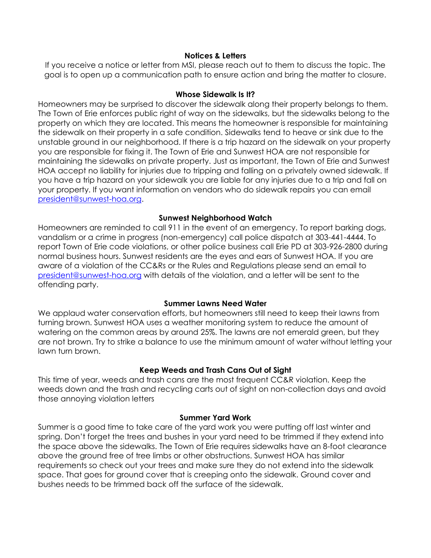#### **Notices & Letters**

If you receive a notice or letter from MSI, please reach out to them to discuss the topic. The goal is to open up a communication path to ensure action and bring the matter to closure.

# **Whose Sidewalk Is It?**

Homeowners may be surprised to discover the sidewalk along their property belongs to them. The Town of Erie enforces public right of way on the sidewalks, but the sidewalks belong to the property on which they are located. This means the homeowner is responsible for maintaining the sidewalk on their property in a safe condition. Sidewalks tend to heave or sink due to the unstable ground in our neighborhood. If there is a trip hazard on the sidewalk on your property you are responsible for fixing it. The Town of Erie and Sunwest HOA are not responsible for maintaining the sidewalks on private property. Just as important, the Town of Erie and Sunwest HOA accept no liability for injuries due to tripping and falling on a privately owned sidewalk. If you have a trip hazard on your sidewalk you are liable for any injuries due to a trip and fall on your property. If you want information on vendors who do sidewalk repairs you can email [president@sunwest-hoa.org.](mailto:president@sunwest-hoa.org)

# **Sunwest Neighborhood Watch**

Homeowners are reminded to call 911 in the event of an emergency. To report barking dogs, vandalism or a crime in progress (non-emergency) call police dispatch at 303-441-4444. To report Town of Erie code violations, or other police business call Erie PD at 303-926-2800 during normal business hours. Sunwest residents are the eyes and ears of Sunwest HOA. If you are aware of a violation of the CC&Rs or the Rules and Regulations please send an email to [president@sunwest-hoa.org](mailto:president@sunwest-hoa.org) with details of the violation, and a letter will be sent to the offending party.

# **Summer Lawns Need Water**

We applaud water conservation efforts, but homeowners still need to keep their lawns from turning brown. Sunwest HOA uses a weather monitoring system to reduce the amount of watering on the common areas by around 25%. The lawns are not emerald green, but they are not brown. Try to strike a balance to use the minimum amount of water without letting your lawn turn brown.

# **Keep Weeds and Trash Cans Out of Sight**

This time of year, weeds and trash cans are the most frequent CC&R violation. Keep the weeds down and the trash and recycling carts out of sight on non-collection days and avoid those annoying violation letters

#### **Summer Yard Work**

Summer is a good time to take care of the yard work you were putting off last winter and spring. Don't forget the trees and bushes in your yard need to be trimmed if they extend into the space above the sidewalks. The Town of Erie requires sidewalks have an 8-foot clearance above the ground free of tree limbs or other obstructions. Sunwest HOA has similar requirements so check out your trees and make sure they do not extend into the sidewalk space. That goes for ground cover that is creeping onto the sidewalk. Ground cover and bushes needs to be trimmed back off the surface of the sidewalk.